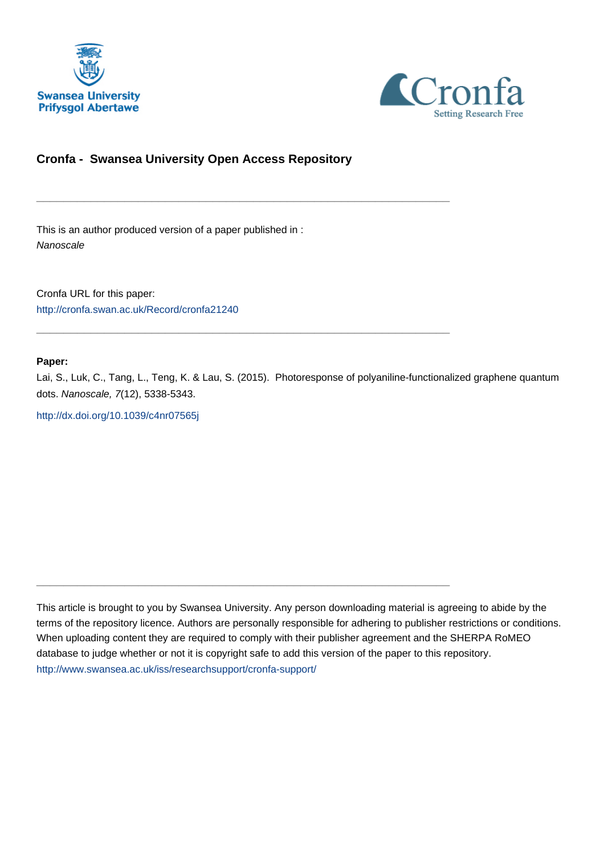



### **Cronfa - Swansea University Open Access Repository**

\_\_\_\_\_\_\_\_\_\_\_\_\_\_\_\_\_\_\_\_\_\_\_\_\_\_\_\_\_\_\_\_\_\_\_\_\_\_\_\_\_\_\_\_\_\_\_\_\_\_\_\_\_\_\_\_\_\_\_\_\_

 $\_$  , and the set of the set of the set of the set of the set of the set of the set of the set of the set of the set of the set of the set of the set of the set of the set of the set of the set of the set of the set of th

 $\_$  , and the set of the set of the set of the set of the set of the set of the set of the set of the set of the set of the set of the set of the set of the set of the set of the set of the set of the set of the set of th

This is an author produced version of a paper published in : Nanoscale

Cronfa URL for this paper: <http://cronfa.swan.ac.uk/Record/cronfa21240>

#### **Paper:**

Lai, S., Luk, C., Tang, L., Teng, K. & Lau, S. (2015). Photoresponse of polyaniline-functionalized graphene quantum dots. Nanoscale, 7(12), 5338-5343.

<http://dx.doi.org/10.1039/c4nr07565j>

This article is brought to you by Swansea University. Any person downloading material is agreeing to abide by the terms of the repository licence. Authors are personally responsible for adhering to publisher restrictions or conditions. When uploading content they are required to comply with their publisher agreement and the SHERPA RoMEO database to judge whether or not it is copyright safe to add this version of the paper to this repository. [http://www.swansea.ac.uk/iss/researchsupport/cronfa-support/](http://www.swansea.ac.uk/iss/researchsupport/cronfa-support/ )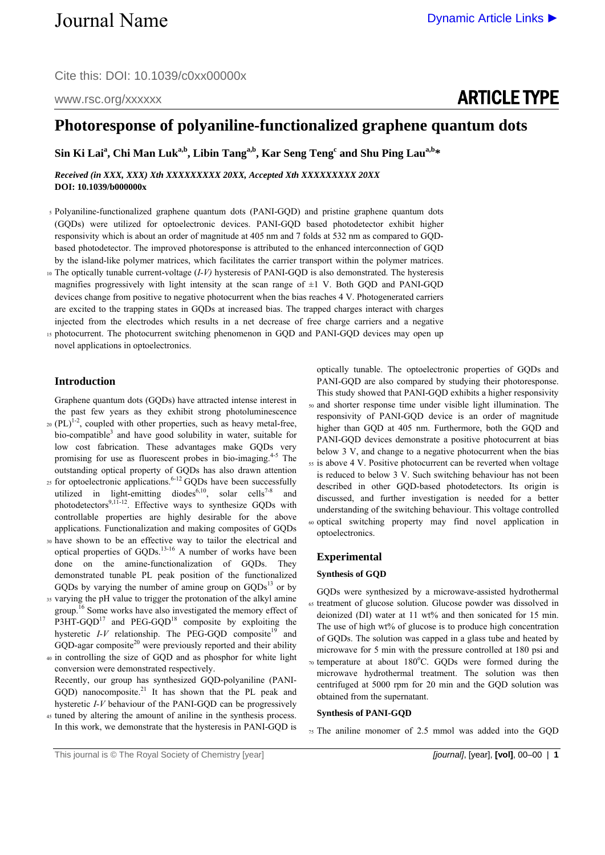# ARTICLE TYPE

## **Photoresponse of polyaniline-functionalized graphene quantum dots**

 $\sin$  Ki Lai<sup>a</sup>, Chi Man Luk<sup>a,b</sup>, Libin Tang<sup>a,b</sup>, Kar Seng Teng<sup>c</sup> and Shu Ping Lau<sup>a,b</sup>\*

#### *Received (in XXX, XXX) Xth XXXXXXXXX 20XX, Accepted Xth XXXXXXXXX 20XX*  **DOI: 10.1039/b000000x**

- 5 Polyaniline-functionalized graphene quantum dots (PANI-GQD) and pristine graphene quantum dots (GQDs) were utilized for optoelectronic devices. PANI-GQD based photodetector exhibit higher responsivity which is about an order of magnitude at 405 nm and 7 folds at 532 nm as compared to GQDbased photodetector. The improved photoresponse is attributed to the enhanced interconnection of GQD by the island-like polymer matrices, which facilitates the carrier transport within the polymer matrices.
- 10 The optically tunable current-voltage (*I-V)* hysteresis of PANI-GQD is also demonstrated. The hysteresis magnifies progressively with light intensity at the scan range of  $\pm 1$  V. Both GOD and PANI-GOD devices change from positive to negative photocurrent when the bias reaches 4 V. Photogenerated carriers are excited to the trapping states in GQDs at increased bias. The trapped charges interact with charges injected from the electrodes which results in a net decrease of free charge carriers and a negative
- 15 photocurrent. The photocurrent switching phenomenon in GQD and PANI-GQD devices may open up novel applications in optoelectronics.

#### **Introduction**

Graphene quantum dots (GQDs) have attracted intense interest in the past few years as they exhibit strong photoluminescence

- $_{20}$  (PL)<sup>1-2</sup>, coupled with other properties, such as heavy metal-free, bio-compatible<sup>3</sup> and have good solubility in water, suitable for low cost fabrication. These advantages make GQDs very promising for use as fluorescent probes in bio-imaging. $4-5$  The outstanding optical property of GQDs has also drawn attention <sup>25</sup> for optoelectronic applications.<sup>6-12</sup> GQDs have been successfully
- utilized in light-emitting diodes<sup>6,10</sup>, solar cells<sup>7-8</sup> and photodetectors<sup>9,11-12</sup>. Effective ways to synthesize GQDs with controllable properties are highly desirable for the above applications. Functionalization and making composites of GQDs
- 30 have shown to be an effective way to tailor the electrical and optical properties of GQDs.<sup>13-16</sup> A number of works have been done on the amine-functionalization of GQDs. They demonstrated tunable PL peak position of the functionalized GQDs by varying the number of amine group on  $GQDs<sup>13</sup>$  or by
- 35 varying the pH value to trigger the protonation of the alkyl amine group.<sup>16</sup> Some works have also investigated the memory effect of P3HT-GQD<sup>17</sup> and PEG-GQD<sup>18</sup> composite by exploiting the hysteretic  $I-V$  relationship. The PEG-GQD composite<sup>19</sup> and  $GQD$ -agar composite<sup>20</sup> were previously reported and their ability

40 in controlling the size of GQD and as phosphor for white light conversion were demonstrated respectively. Recently, our group has synthesized GQD-polyaniline (PANI-GQD) nanocomposite. $21$  It has shown that the PL peak and hysteretic *I-V* behaviour of the PANI-GQD can be progressively

45 tuned by altering the amount of aniline in the synthesis process. In this work, we demonstrate that the hysteresis in PANI-GQD is optically tunable. The optoelectronic properties of GQDs and PANI-GQD are also compared by studying their photoresponse. This study showed that PANI-GQD exhibits a higher responsivity

- 50 and shorter response time under visible light illumination. The responsivity of PANI-GQD device is an order of magnitude higher than GQD at 405 nm. Furthermore, both the GQD and PANI-GQD devices demonstrate a positive photocurrent at bias below 3 V, and change to a negative photocurrent when the bias
- 55 is above 4 V. Positive photocurrent can be reverted when voltage is reduced to below 3 V. Such switching behaviour has not been described in other GQD-based photodetectors. Its origin is discussed, and further investigation is needed for a better understanding of the switching behaviour. This voltage controlled 60 optical switching property may find novel application in
- optoelectronics.

#### **Experimental**

#### **Synthesis of GQD**

GQDs were synthesized by a microwave-assisted hydrothermal 65 treatment of glucose solution. Glucose powder was dissolved in deionized (DI) water at 11 wt% and then sonicated for 15 min. The use of high wt% of glucose is to produce high concentration of GQDs. The solution was capped in a glass tube and heated by microwave for 5 min with the pressure controlled at 180 psi and  $\tau_0$  temperature at about 180 $\degree$ C. GQDs were formed during the microwave hydrothermal treatment. The solution was then centrifuged at 5000 rpm for 20 min and the GQD solution was obtained from the supernatant.

#### **Synthesis of PANI-GQD**

75 The aniline monomer of 2.5 mmol was added into the GQD

This journal is © The Royal Society of Chemistry [year] *[journal]*, [year], **[vol]**, 00–00 | **1**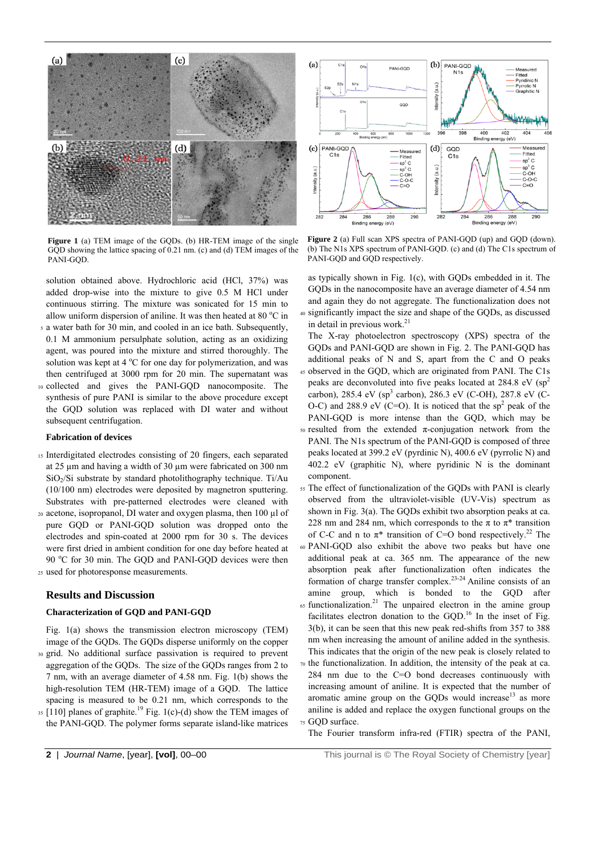

**Figure 1** (a) TEM image of the GQDs. (b) HR-TEM image of the single GQD showing the lattice spacing of 0.21 nm. (c) and (d) TEM images of the PANI-GQD.

solution obtained above. Hydrochloric acid (HCl, 37%) was added drop-wise into the mixture to give 0.5 M HCl under continuous stirring. The mixture was sonicated for 15 min to allow uniform dispersion of aniline. It was then heated at 80  $^{\circ}$ C in

- 5 a water bath for 30 min, and cooled in an ice bath. Subsequently, 0.1 M ammonium persulphate solution, acting as an oxidizing agent, was poured into the mixture and stirred thoroughly. The solution was kept at  $4^{\circ}$ C for one day for polymerization, and was then centrifuged at 3000 rpm for 20 min. The supernatant was
- 10 collected and gives the PANI-GQD nanocomposite. The synthesis of pure PANI is similar to the above procedure except the GQD solution was replaced with DI water and without subsequent centrifugation.

#### **Fabrication of devices**

- 15 Interdigitated electrodes consisting of 20 fingers, each separated at 25 µm and having a width of 30 µm were fabricated on 300 nm  $SiO<sub>2</sub>/Si$  substrate by standard photolithography technique. Ti/Au (10/100 nm) electrodes were deposited by magnetron sputtering. Substrates with pre-patterned electrodes were cleaned with
- 20 acetone, isopropanol, DI water and oxygen plasma, then 100 µl of pure GQD or PANI-GQD solution was dropped onto the electrodes and spin-coated at 2000 rpm for 30 s. The devices were first dried in ambient condition for one day before heated at 90 °C for 30 min. The GQD and PANI-GQD devices were then 25 used for photoresponse measurements.

#### **Results and Discussion**

#### **Characterization of GQD and PANI-GQD**

Fig. 1(a) shows the transmission electron microscopy (TEM) image of the GQDs. The GQDs disperse uniformly on the copper

- 30 grid. No additional surface passivation is required to prevent aggregation of the GQDs. The size of the GQDs ranges from 2 to 7 nm, with an average diameter of 4.58 nm. Fig. 1(b) shows the high-resolution TEM (HR-TEM) image of a GQD. The lattice spacing is measured to be 0.21 nm, which corresponds to the
- $\frac{1}{35}$  [110] planes of graphite.<sup>19</sup> Fig. 1(c)-(d) show the TEM images of the PANI-GQD. The polymer forms separate island-like matrices



**Figure 2** (a) Full scan XPS spectra of PANI-GQD (up) and GQD (down). (b) The N1s XPS spectrum of PANI-GQD. (c) and (d) The C1s spectrum of PANI-GQD and GQD respectively.

as typically shown in Fig. 1(c), with GQDs embedded in it. The GQDs in the nanocomposite have an average diameter of 4.54 nm and again they do not aggregate. The functionalization does not 40 significantly impact the size and shape of the GQDs, as discussed in detail in previous work.<sup>21</sup>

The X-ray photoelectron spectroscopy (XPS) spectra of the GQDs and PANI-GQD are shown in Fig. 2. The PANI-GQD has additional peaks of N and S, apart from the C and O peaks 45 observed in the GQD, which are originated from PANI. The C1s peaks are deconvoluted into five peaks located at 284.8 eV (sp<sup>2</sup> carbon), 285.4 eV (sp<sup>3</sup> carbon), 286.3 eV (C-OH), 287.8 eV (C-O-C) and 288.9 eV (C=O). It is noticed that the  $sp^2$  peak of the PANI-GQD is more intense than the GQD, which may be

- $50$  resulted from the extended π-conjugation network from the PANI. The N1s spectrum of the PANI-GOD is composed of three peaks located at 399.2 eV (pyrdinic N), 400.6 eV (pyrrolic N) and 402.2 eV (graphitic N), where pyridinic N is the dominant component.
- 55 The effect of functionalization of the GQDs with PANI is clearly observed from the ultraviolet-visible (UV-Vis) spectrum as shown in Fig. 3(a). The GQDs exhibit two absorption peaks at ca. 228 nm and 284 nm, which corresponds to the  $\pi$  to  $\pi^*$  transition of C-C and n to  $\pi^*$  transition of C=O bond respectively.<sup>22</sup> The
- 60 PANI-GQD also exhibit the above two peaks but have one additional peak at ca. 365 nm. The appearance of the new absorption peak after functionalization often indicates the formation of charge transfer complex.<sup>23-24</sup> Aniline consists of an amine group, which is bonded to the GQD after
- $65$  functionalization.<sup>21</sup> The unpaired electron in the amine group facilitates electron donation to the GQD.<sup>16</sup> In the inset of Fig. 3(b), it can be seen that this new peak red-shifts from 357 to 388 nm when increasing the amount of aniline added in the synthesis. This indicates that the origin of the new peak is closely related to
- 70 the functionalization. In addition, the intensity of the peak at ca. 284 nm due to the C=O bond decreases continuously with increasing amount of aniline. It is expected that the number of aromatic amine group on the GQDs would increase<sup>13</sup> as more aniline is added and replace the oxygen functional groups on the 75 GQD surface.
	- The Fourier transform infra-red (FTIR) spectra of the PANI,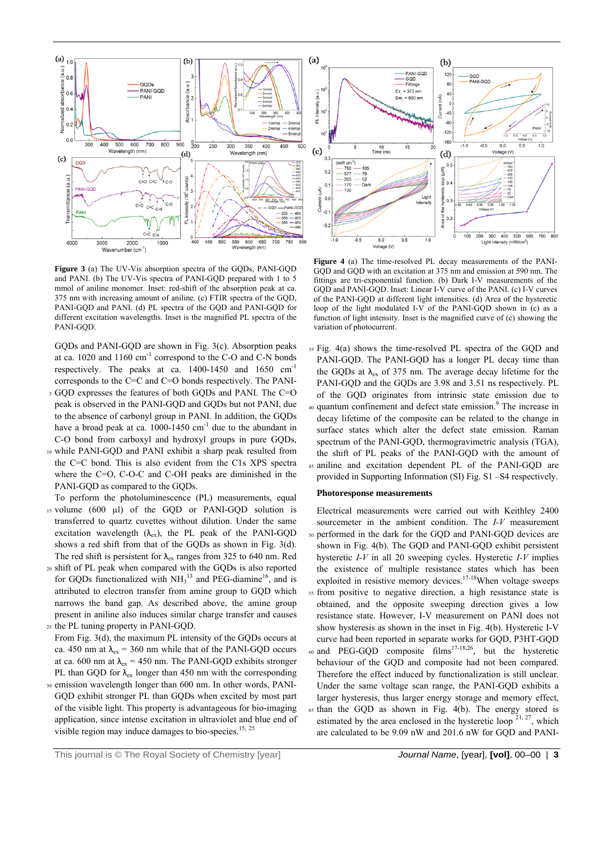

**Figure 3** (a) The UV-Vis absorption spectra of the GQDs, PANI-GQD and PANI. (b) The UV-Vis spectra of PANI-GQD prepared with 1 to 5 mmol of aniline monomer. Inset: red-shift of the absorption peak at ca. 375 nm with increasing amount of aniline. (c) FTIR spectra of the GQD, PANI-GQD and PANI. (d) PL spectra of the GQD and PANI-GQD for different excitation wavelengths. Inset is the magnified PL spectra of the PANI-GQD.

GQDs and PANI-GQD are shown in Fig. 3(c). Absorption peaks at ca. 1020 and 1160 cm-1 correspond to the C-O and C-N bonds respectively. The peaks at ca. 1400-1450 and 1650 cm-1 corresponds to the C=C and C=O bonds respectively. The PANI-

- 5 GQD expresses the features of both GQDs and PANI. The C=O peak is observed in the PANI-GQD and GQDs but not PANI, due to the absence of carbonyl group in PANI. In addition, the GQDs have a broad peak at ca.  $1000-1450$  cm<sup>-1</sup> due to the abundant in C-O bond from carboxyl and hydroxyl groups in pure GQDs,
- 10 while PANI-GQD and PANI exhibit a sharp peak resulted from the C=C bond. This is also evident from the C1s XPS spectra where the C=O, C-O-C and C-OH peaks are diminished in the PANI-GQD as compared to the GQDs.
- To perform the photoluminescence (PL) measurements, equal 15 volume (600 µl) of the GQD or PANI-GQD solution is transferred to quartz cuvettes without dilution. Under the same excitation wavelength  $(\lambda_{ex})$ , the PL peak of the PANI-GQD shows a red shift from that of the GQDs as shown in Fig. 3(d). The red shift is persistent for  $\lambda_{ex}$  ranges from 325 to 640 nm. Red
- 20 shift of PL peak when compared with the GQDs is also reported for GQDs functionalized with  $NH<sub>3</sub><sup>13</sup>$  and PEG-diamine<sup>16</sup>, and is attributed to electron transfer from amine group to GQD which narrows the band gap. As described above, the amine group present in aniline also induces similar charge transfer and causes 25 the PL tuning property in PANI-GQD.
- From Fig. 3(d), the maximum PL intensity of the GQDs occurs at ca. 450 nm at  $\lambda_{ex}$  = 360 nm while that of the PANI-GQD occurs at ca. 600 nm at  $\lambda_{ex}$  = 450 nm. The PANI-GQD exhibits stronger PL than GOD for  $\lambda_{\rm ev}$  longer than 450 nm with the corresponding
- 30 emission wavelength longer than 600 nm. In other words, PANI-GQD exhibit stronger PL than GQDs when excited by most part of the visible light. This property is advantageous for bio-imaging application, since intense excitation in ultraviolet and blue end of visible region may induce damages to bio-species.<sup>15, 25</sup>



**Figure 4** (a) The time-resolved PL decay measurements of the PANI-GQD and GQD with an excitation at 375 nm and emission at 590 nm. The fittings are tri-exponential function. (b) Dark I-V measurements of the GQD and PANI-GQD. Inset: Linear I-V curve of the PANI. (c) I-V curves of the PANI-GQD at different light intensities. (d) Area of the hysteretic loop of the light modulated I-V of the PANI-GOD shown in  $(c)$  as a function of light intensity. Inset is the magnified curve of (c) showing the variation of photocurrent.

35 Fig. 4(a) shows the time-resolved PL spectra of the GQD and PANI-GQD. The PANI-GQD has a longer PL decay time than the GQDs at  $\lambda_{ex}$  of 375 nm. The average decay lifetime for the PANI-GQD and the GQDs are 3.98 and 3.51 ns respectively. PL of the GQD originates from intrinsic state emission due to 40 quantum confinement and defect state emission.<sup>9</sup> The increase in decay lifetime of the composite can be related to the change in surface states which alter the defect state emission. Raman spectrum of the PANI-GQD, thermogravimetric analysis (TGA), the shift of PL peaks of the PANI-GQD with the amount of 45 aniline and excitation dependent PL of the PANI-GQD are provided in Supporting Information (SI) Fig. S1 –S4 respectively.

#### **Photoresponse measurements**

Electrical measurements were carried out with Keithley 2400 sourcemeter in the ambient condition. The *I-V* measurement 50 performed in the dark for the GQD and PANI-GQD devices are shown in Fig. 4(b). The GQD and PANI-GQD exhibit persistent hysteretic *I-V* in all 20 sweeping cycles. Hysteretic *I-V* implies the existence of multiple resistance states which has been exploited in resistive memory devices.<sup>17-18</sup>When voltage sweeps 55 from positive to negative direction, a high resistance state is obtained, and the opposite sweeping direction gives a low resistance state. However, I-V measurement on PANI does not show hysteresis as shown in the inset in Fig. 4(b). Hysteretic I-V curve had been reported in separate works for GQD, P3HT-GQD 60 and PEG-GQD composite  $\text{films}^{17-18,26}$ , but the hysteretic behaviour of the GQD and composite had not been compared. Therefore the effect induced by functionalization is still unclear. Under the same voltage scan range, the PANI-GQD exhibits a larger hysteresis, thus larger energy storage and memory effect, 65 than the GQD as shown in Fig. 4(b). The energy stored is estimated by the area enclosed in the hysteretic loop  $2^{1, 27}$ , which are calculated to be 9.09 nW and 201.6 nW for GQD and PANI-

This journal is © The Royal Society of Chemistry [year] *Journal Name*, [year], **[vol]**, 00–00 | **3**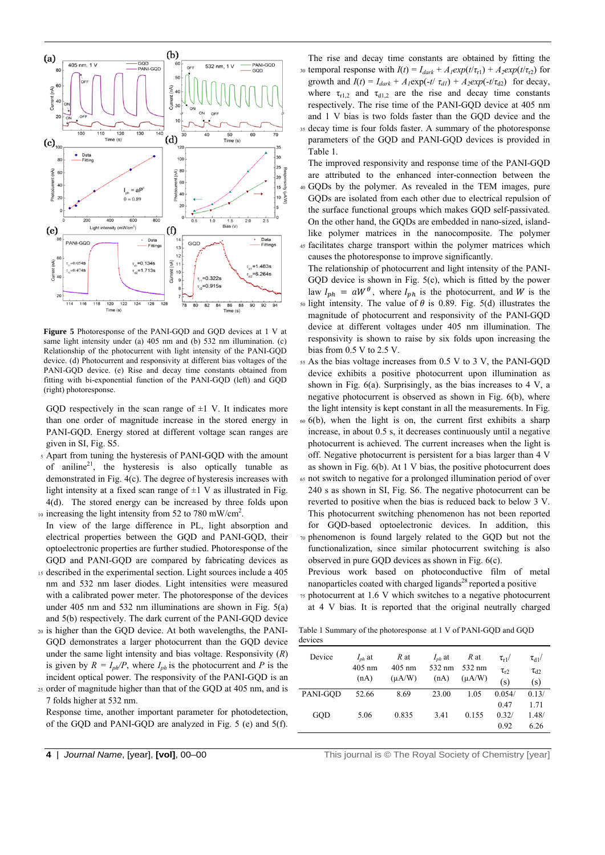

**Figure 5** Photoresponse of the PANI-GQD and GQD devices at 1 V at same light intensity under (a) 405 nm and (b) 532 nm illumination. (c) Relationship of the photocurrent with light intensity of the PANI-GQD device. (d) Photocurrent and responsivity at different bias voltages of the PANI-GQD device. (e) Rise and decay time constants obtained from fitting with bi-exponential function of the PANI-GQD (left) and GQD (right) photoresponse.

GQD respectively in the scan range of  $\pm 1$  V. It indicates more than one order of magnitude increase in the stored energy in PANI-GQD. Energy stored at different voltage scan ranges are given in SI, Fig. S5.

- 5 Apart from tuning the hysteresis of PANI-GQD with the amount of aniline<sup>21</sup>, the hysteresis is also optically tunable as demonstrated in Fig. 4(c). The degree of hysteresis increases with light intensity at a fixed scan range of  $\pm 1$  V as illustrated in Fig. 4(d). The stored energy can be increased by three folds upon
- $\mu$  increasing the light intensity from 52 to 780 mW/cm<sup>2</sup>.
- In view of the large difference in PL, light absorption and electrical properties between the GQD and PANI-GQD, their optoelectronic properties are further studied. Photoresponse of the GQD and PANI-GQD are compared by fabricating devices as
- 15 described in the experimental section. Light sources include a 405 nm and 532 nm laser diodes. Light intensities were measured with a calibrated power meter. The photoresponse of the devices under 405 nm and 532 nm illuminations are shown in Fig. 5(a) and 5(b) respectively. The dark current of the PANI-GQD device
- 20 is higher than the GQD device. At both wavelengths, the PANI-GQD demonstrates a larger photocurrent than the GQD device under the same light intensity and bias voltage. Responsivity (*R*) is given by  $R = I_{ph}/P$ , where  $I_{ph}$  is the photocurrent and *P* is the incident optical power. The responsivity of the PANI-GQD is an
- 25 order of magnitude higher than that of the GQD at 405 nm, and is 7 folds higher at 532 nm.

Response time, another important parameter for photodetection, of the GQD and PANI-GQD are analyzed in Fig. 5 (e) and 5(f).

The rise and decay time constants are obtained by fitting the the solution response with  $I(t) = I_{dark} + A_1 exp(t/\tau_{r1}) + A_2 exp(t/\tau_{r2})$  for growth and  $I(t) = I_{dark} + A_1 \exp(-t/\tau_{dl}) + A_2 \exp(-t/\tau_{d2})$  for decay, where  $\tau_{r1,2}$  and  $\tau_{d1,2}$  are the rise and decay time constants respectively. The rise time of the PANI-GQD device at 405 nm and 1 V bias is two folds faster than the GQD device and the 35 decay time is four folds faster. A summary of the photoresponse parameters of the GQD and PANI-GQD devices is provided in

Table 1. The improved responsivity and response time of the PANI-GQD

are attributed to the enhanced inter-connection between the 40 GQDs by the polymer. As revealed in the TEM images, pure GQDs are isolated from each other due to electrical repulsion of the surface functional groups which makes GQD self-passivated.

On the other hand, the GQDs are embedded in nano-sized, islandlike polymer matrices in the nanocomposite. The polymer 45 facilitates charge transport within the polymer matrices which

causes the photoresponse to improve significantly. The relationship of photocurrent and light intensity of the PANI-GQD device is shown in Fig. 5(c), which is fitted by the power law  $I_{ph} = aW^{\theta}$ , where  $I_{ph}$  is the photocurrent, and W is the 50 light intensity. The value of  $\theta$  is 0.89. Fig. 5(d) illustrates the magnitude of photocurrent and responsivity of the PANI-GQD device at different voltages under 405 nm illumination. The responsivity is shown to raise by six folds upon increasing the bias from 0.5 V to 2.5 V.

- 55 As the bias voltage increases from 0.5 V to 3 V, the PANI-GQD device exhibits a positive photocurrent upon illumination as shown in Fig.  $6(a)$ . Surprisingly, as the bias increases to 4 V, a negative photocurrent is observed as shown in Fig. 6(b), where the light intensity is kept constant in all the measurements. In Fig.
- 60 6(b), when the light is on, the current first exhibits a sharp increase, in about 0.5 s, it decreases continuously until a negative photocurrent is achieved. The current increases when the light is off. Negative photocurrent is persistent for a bias larger than 4 V as shown in Fig. 6(b). At 1 V bias, the positive photocurrent does
- 65 not switch to negative for a prolonged illumination period of over 240 s as shown in SI, Fig. S6. The negative photocurrent can be reverted to positive when the bias is reduced back to below 3 V. This photocurrent switching phenomenon has not been reported for GQD-based optoelectronic devices. In addition, this
- 70 phenomenon is found largely related to the GQD but not the functionalization, since similar photocurrent switching is also observed in pure GQD devices as shown in Fig. 6(c).

Previous work based on photoconductive film of metal nanoparticles coated with charged ligands<sup>28</sup> reported a positive

75 photocurrent at 1.6 V which switches to a negative photocurrent at 4 V bias. It is reported that the original neutrally charged

Table 1 Summary of the photoresponse at 1 V of PANI-GQD and GQD devices

| Device   | $I_{nh}$ at<br>$405$ nm<br>(nA) | R at<br>$405$ nm<br>$(\mu A/W)$ | $I_{nh}$ at<br>532 nm<br>(nA) | R at<br>532 nm<br>$(\mu A/W)$ | $\tau_{r1}$ /<br>$\tau_{r2}$<br>(s) | $\tau_{d1}$ /<br>$\tau_{d2}$<br>(s) |
|----------|---------------------------------|---------------------------------|-------------------------------|-------------------------------|-------------------------------------|-------------------------------------|
| PANI-GOD | 52.66                           | 8.69                            | 23.00                         | 1.05                          | 0.054/                              | 0.13/                               |
|          |                                 |                                 |                               |                               | 0.47                                | 1.71                                |
| GOD      | 5.06                            | 0.835                           | 3.41                          | 0.155                         | 0.32/                               | 1.48/                               |
|          |                                 |                                 |                               |                               | 0.92                                | 6.26                                |

**4** | *Journal Name*, [year], **[vol]**, 00–00 This journal is © The Royal Society of Chemistry [year]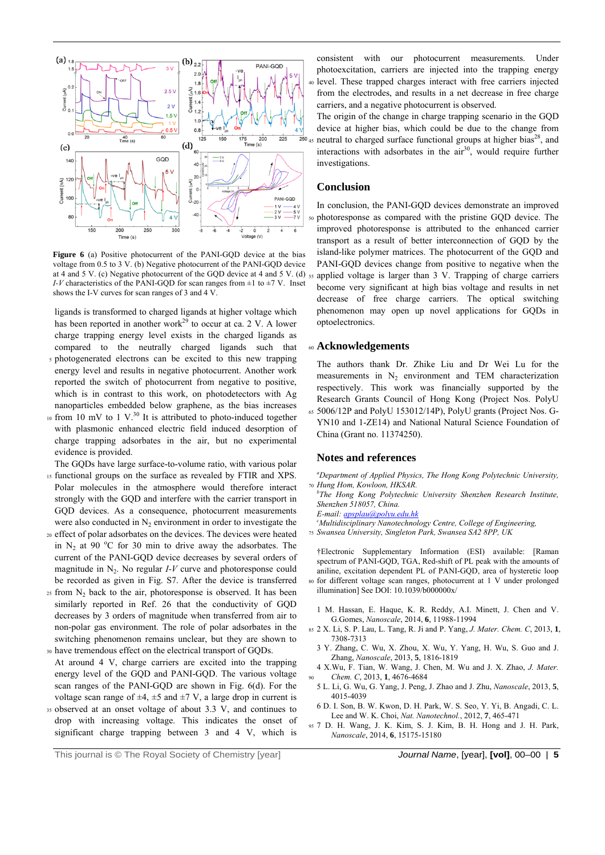

Figure 6 (a) Positive photocurrent of the PANI-GOD device at the bias voltage from 0.5 to 3 V. (b) Negative photocurrent of the PANI-GQD device at 4 and 5 V. (c) Negative photocurrent of the GQD device at 4 and 5 V. (d) *I-V* characteristics of the PANI-GQD for scan ranges from  $\pm 1$  to  $\pm 7$  V. Inset shows the I-V curves for scan ranges of 3 and 4 V.

ligands is transformed to charged ligands at higher voltage which has been reported in another work<sup>29</sup> to occur at ca. 2 V. A lower charge trapping energy level exists in the charged ligands as compared to the neutrally charged ligands such that 5 photogenerated electrons can be excited to this new trapping energy level and results in negative photocurrent. Another work reported the switch of photocurrent from negative to positive, which is in contrast to this work, on photodetectors with Ag nanoparticles embedded below graphene, as the bias increases

 $\frac{10 \text{ from } 10 \text{ mV}}{10 \text{ mV}}$  to 1 V.<sup>30</sup> It is attributed to photo-induced together with plasmonic enhanced electric field induced desorption of charge trapping adsorbates in the air, but no experimental evidence is provided.

The GQDs have large surface-to-volume ratio, with various polar 15 functional groups on the surface as revealed by FTIR and XPS. Polar molecules in the atmosphere would therefore interact strongly with the GQD and interfere with the carrier transport in GQD devices. As a consequence, photocurrent measurements were also conducted in  $N_2$  environment in order to investigate the

- 20 effect of polar adsorbates on the devices. The devices were heated in  $N_2$  at 90 °C for 30 min to drive away the adsorbates. The current of the PANI-GQD device decreases by several orders of magnitude in  $N_2$ . No regular  $I-V$  curve and photoresponse could be recorded as given in Fig. S7. After the device is transferred
- $25$  from  $N_2$  back to the air, photoresponse is observed. It has been similarly reported in Ref. 26 that the conductivity of GQD decreases by 3 orders of magnitude when transferred from air to non-polar gas environment. The role of polar adsorbates in the switching phenomenon remains unclear, but they are shown to 30 have tremendous effect on the electrical transport of GQDs.
- At around 4 V, charge carriers are excited into the trapping energy level of the GQD and PANI-GQD. The various voltage scan ranges of the PANI-GQD are shown in Fig. 6(d). For the voltage scan range of  $\pm 4$ ,  $\pm 5$  and  $\pm 7$  V, a large drop in current is
- 35 observed at an onset voltage of about 3.3 V, and continues to drop with increasing voltage. This indicates the onset of significant charge trapping between 3 and 4 V, which is

consistent with our photocurrent measurements. Under photoexcitation, carriers are injected into the trapping energy 40 level. These trapped charges interact with free carriers injected from the electrodes, and results in a net decrease in free charge carriers, and a negative photocurrent is observed.

The origin of the change in charge trapping scenario in the GQD device at higher bias, which could be due to the change from neutral to charged surface functional groups at higher bias<sup>28</sup>, and interactions with adsorbates in the  $air<sup>30</sup>$ , would require further investigations.

#### **Conclusion**

In conclusion, the PANI-GQD devices demonstrate an improved 50 photoresponse as compared with the pristine GQD device. The improved photoresponse is attributed to the enhanced carrier transport as a result of better interconnection of GQD by the island-like polymer matrices. The photocurrent of the GQD and PANI-GQD devices change from positive to negative when the 55 applied voltage is larger than 3 V. Trapping of charge carriers become very significant at high bias voltage and results in net decrease of free charge carriers. The optical switching phenomenon may open up novel applications for GQDs in optoelectronics.

#### <sup>60</sup>**Acknowledgements**

The authors thank Dr. Zhike Liu and Dr Wei Lu for the measurements in  $N_2$  environment and TEM characterization respectively. This work was financially supported by the Research Grants Council of Hong Kong (Project Nos. PolyU 65 5006/12P and PolyU 153012/14P), PolyU grants (Project Nos. G-

YN10 and 1-ZE14) and National Natural Science Foundation of China (Grant no. 11374250).

#### **Notes and references**

*a Department of Applied Physics, The Hong Kong Polytechnic University,*  <sup>70</sup>*Hung Hom, Kowloon, HKSAR.* 

*b The Hong Kong Polytechnic University Shenzhen Research Institute, Shenzhen 518057, China.* 

*E-mail: apsplau@polyu.edu.hk*

*c Multidisciplinary Nanotechnology Centre, College of Engineering,*  <sup>75</sup>*Swansea University, Singleton Park, Swansea SA2 8PP, UK* 

†Electronic Supplementary Information (ESI) available: [Raman spectrum of PANI-GQD, TGA, Red-shift of PL peak with the amounts of aniline, excitation dependent PL of PANI-GQD, area of hysteretic loop 80 for different voltage scan ranges, photocurrent at 1 V under prolonged

- illumination] See DOI: 10.1039/b000000x/
- 1 M. Hassan, E. Haque, K. R. Reddy, A.I. Minett, J. Chen and V. G.Gomes, *Nanoscale*, 2014, **6**, 11988-11994
- 85 2 X. Li, S. P. Lau, L. Tang, R. Ji and P. Yang, *J. Mater. Chem. C*, 2013, **1**, 7308-7313
	- 3 Y. Zhang, C. Wu, X. Zhou, X. Wu, Y. Yang, H. Wu, S. Guo and J. Zhang, *Nanoscale*, 2013, **5**, 1816-1819
	- 4 X.Wu, F. Tian, W. Wang, J. Chen, M. Wu and J. X. Zhao, *J. Mater.*  <sup>90</sup>*Chem. C*, 2013, **1**, 4676-4684
- 5 L. Li, G. Wu, G. Yang, J. Peng, J. Zhao and J. Zhu, *Nanoscale*, 2013, **5**, 4015-4039
- 6 D. I. Son, B. W. Kwon, D. H. Park, W. S. Seo, Y. Yi, B. Angadi, C. L. Lee and W. K. Choi, *Nat. Nanotechnol.*, 2012, **7**, 465-471
- 95 7 D. H. Wang, J. K. Kim, S. J. Kim, B. H. Hong and J. H. Park, *Nanoscale*, 2014, **6**, 15175-15180

This journal is © The Royal Society of Chemistry [year] *Journal Name*, [year], **[vol]**, 00–00 | **5**